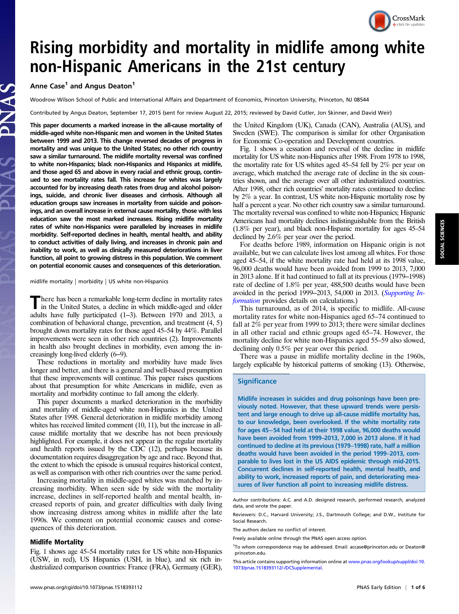# CrossMark

## Rising morbidity and mortality in midlife among white non-Hispanic Americans in the 21st century

### Anne Case<sup>1</sup> and Angus Deaton<sup>1</sup>

Woodrow Wilson School of Public and International Affairs and Department of Economics, Princeton University, Princeton, NJ 08544

Contributed by Angus Deaton, September 17, 2015 (sent for review August 22, 2015; reviewed by David Cutler, Jon Skinner, and David Weir)

This paper documents a marked increase in the all-cause mortality of middle-aged white non-Hispanic men and women in the United States between 1999 and 2013. This change reversed decades of progress in mortality and was unique to the United States; no other rich country saw a similar turnaround. The midlife mortality reversal was confined to white non-Hispanics; black non-Hispanics and Hispanics at midlife, and those aged 65 and above in every racial and ethnic group, continued to see mortality rates fall. This increase for whites was largely accounted for by increasing death rates from drug and alcohol poisonings, suicide, and chronic liver diseases and cirrhosis. Although all education groups saw increases in mortality from suicide and poisonings, and an overall increase in external cause mortality, those with less education saw the most marked increases. Rising midlife mortality rates of white non-Hispanics were paralleled by increases in midlife morbidity. Self-reported declines in health, mental health, and ability to conduct activities of daily living, and increases in chronic pain and inability to work, as well as clinically measured deteriorations in liver function, all point to growing distress in this population. We comment on potential economic causes and consequences of this deterioration.

#### midlife mortality | morbidity | US white non-Hispanics

There has been a remarkable long-term decline in mortality rates<br>in the United States, a decline in which middle-aged and older adults have fully participated (1‒3). Between 1970 and 2013, a combination of behavioral change, prevention, and treatment (4, 5) brought down mortality rates for those aged 45–54 by 44%. Parallel improvements were seen in other rich countries (2). Improvements in health also brought declines in morbidity, even among the increasingly long-lived elderly (6‒9).

These reductions in mortality and morbidity have made lives longer and better, and there is a general and well-based presumption that these improvements will continue. This paper raises questions about that presumption for white Americans in midlife, even as mortality and morbidity continue to fall among the elderly.

This paper documents a marked deterioration in the morbidity and mortality of middle-aged white non-Hispanics in the United States after 1998. General deterioration in midlife morbidity among whites has received limited comment (10, 11), but the increase in allcause midlife mortality that we describe has not been previously highlighted. For example, it does not appear in the regular mortality and health reports issued by the CDC (12), perhaps because its documentation requires disaggregation by age and race. Beyond that, the extent to which the episode is unusual requires historical context, as well as comparison with other rich countries over the same period.

Increasing mortality in middle-aged whites was matched by increasing morbidity. When seen side by side with the mortality increase, declines in self-reported health and mental health, increased reports of pain, and greater difficulties with daily living show increasing distress among whites in midlife after the late 1990s. We comment on potential economic causes and consequences of this deterioration.

#### Midlife Mortality

Fig. 1 shows age 45–54 mortality rates for US white non-Hispanics (USW, in red), US Hispanics (USH, in blue), and six rich industrialized comparison countries: France (FRA), Germany (GER),

the United Kingdom (UK), Canada (CAN), Australia (AUS), and Sweden (SWE). The comparison is similar for other Organisation for Economic Co-operation and Development countries.

Fig. 1 shows a cessation and reversal of the decline in midlife mortality for US white non-Hispanics after 1998. From 1978 to 1998, the mortality rate for US whites aged 45–54 fell by 2% per year on average, which matched the average rate of decline in the six countries shown, and the average over all other industrialized countries. After 1998, other rich countries' mortality rates continued to decline by 2% a year. In contrast, US white non-Hispanic mortality rose by half a percent a year. No other rich country saw a similar turnaround. The mortality reversal was confined to white non-Hispanics; Hispanic Americans had mortality declines indistinguishable from the British (1.8% per year), and black non-Hispanic mortality for ages 45–54 declined by 2.6% per year over the period.

For deaths before 1989, information on Hispanic origin is not available, but we can calculate lives lost among all whites. For those aged 45–54, if the white mortality rate had held at its 1998 value, 96,000 deaths would have been avoided from 1999 to 2013, 7,000 in 2013 alone. If it had continued to fall at its previous (1979–1998) rate of decline of 1.8% per year, 488,500 deaths would have been avoided in the period 1999–2013, 54,000 in 2013. ([Supporting In](http://www.pnas.org/lookup/suppl/doi:10.1073/pnas.1518393112/-/DCSupplemental/pnas.201518393SI.pdf?targetid=nameddest=STXT)[formation](http://www.pnas.org/lookup/suppl/doi:10.1073/pnas.1518393112/-/DCSupplemental/pnas.201518393SI.pdf?targetid=nameddest=STXT) provides details on calculations.)

This turnaround, as of 2014, is specific to midlife. All-cause mortality rates for white non-Hispanics aged 65–74 continued to fall at 2% per year from 1999 to 2013; there were similar declines in all other racial and ethnic groups aged 65–74. However, the mortality decline for white non-Hispanics aged 55–59 also slowed, declining only 0.5% per year over this period.

There was a pause in midlife mortality decline in the 1960s, largely explicable by historical patterns of smoking (13). Otherwise,

#### **Significance**

Midlife increases in suicides and drug poisonings have been previously noted. However, that these upward trends were persistent and large enough to drive up all-cause midlife mortality has, to our knowledge, been overlooked. If the white mortality rate for ages 45−54 had held at their 1998 value, 96,000 deaths would have been avoided from 1999–2013, 7,000 in 2013 alone. If it had continued to decline at its previous (1979–1998) rate, half a million deaths would have been avoided in the period 1999-2013, comparable to lives lost in the US AIDS epidemic through mid-2015. Concurrent declines in self-reported health, mental health, and ability to work, increased reports of pain, and deteriorating measures of liver function all point to increasing midlife distress.

The authors declare no conflict of interest.

Author contributions: A.C. and A.D. designed research, performed research, analyzed data, and wrote the paper.

Reviewers: D.C., Harvard University; J.S., Dartmouth College; and D.W., Institute for Social Research.

Freely available online through the PNAS open access option.

<sup>&</sup>lt;sup>1</sup>To whom correspondence may be addressed. Email: [accase@princeton.edu](mailto:accase@princeton.edu) or [Deaton@](mailto:Deaton@princeton.edu) [princeton.edu](mailto:Deaton@princeton.edu).

This article contains supporting information online at [www.pnas.org/lookup/suppl/doi:10.](http://www.pnas.org/lookup/suppl/doi:10.1073/pnas.1518393112/-/DCSupplemental) [1073/pnas.1518393112/-/DCSupplemental](http://www.pnas.org/lookup/suppl/doi:10.1073/pnas.1518393112/-/DCSupplemental).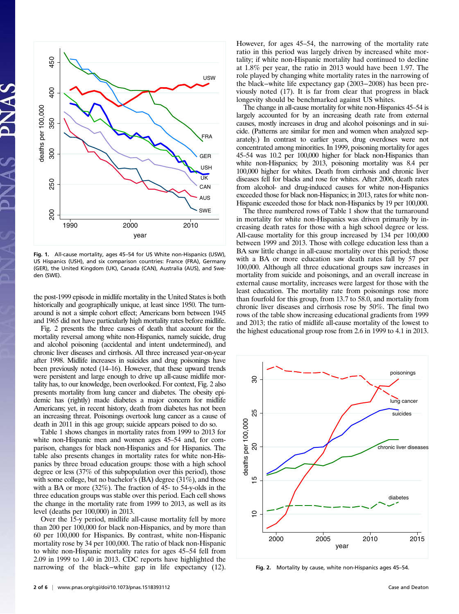

Fig. 1. All-cause mortality, ages 45–54 for US White non-Hispanics (USW), US Hispanics (USH), and six comparison countries: France (FRA), Germany (GER), the United Kingdom (UK), Canada (CAN), Australia (AUS), and Sweden (SWE).

the post-1999 episode in midlife mortality in the United States is both historically and geographically unique, at least since 1950. The turnaround is not a simple cohort effect; Americans born between 1945 and 1965 did not have particularly high mortality rates before midlife.

Fig. 2 presents the three causes of death that account for the mortality reversal among white non-Hispanics, namely suicide, drug and alcohol poisoning (accidental and intent undetermined), and chronic liver diseases and cirrhosis. All three increased year-on-year after 1998. Midlife increases in suicides and drug poisonings have been previously noted (14–16). However, that these upward trends were persistent and large enough to drive up all-cause midlife mortality has, to our knowledge, been overlooked. For context, Fig. 2 also presents mortality from lung cancer and diabetes. The obesity epidemic has (rightly) made diabetes a major concern for midlife Americans; yet, in recent history, death from diabetes has not been an increasing threat. Poisonings overtook lung cancer as a cause of death in 2011 in this age group; suicide appears poised to do so.

Table 1 shows changes in mortality rates from 1999 to 2013 for white non-Hispanic men and women ages 45–54 and, for comparison, changes for black non-Hispanics and for Hispanics. The table also presents changes in mortality rates for white non-Hispanics by three broad education groups: those with a high school degree or less (37% of this subpopulation over this period), those with some college, but no bachelor's (BA) degree (31%), and those with a BA or more (32%). The fraction of 45- to 54-y-olds in the three education groups was stable over this period. Each cell shows the change in the mortality rate from 1999 to 2013, as well as its level (deaths per 100,000) in 2013.

Over the 15-y period, midlife all-cause mortality fell by more than 200 per 100,000 for black non-Hispanics, and by more than 60 per 100,000 for Hispanics. By contrast, white non-Hispanic mortality rose by 34 per 100,000. The ratio of black non-Hispanic to white non-Hispanic mortality rates for ages 45–54 fell from 2.09 in 1999 to 1.40 in 2013. CDC reports have highlighted the narrowing of the black−white gap in life expectancy (12). However, for ages 45–54, the narrowing of the mortality rate ratio in this period was largely driven by increased white mortality; if white non-Hispanic mortality had continued to decline at 1.8% per year, the ratio in 2013 would have been 1.97. The role played by changing white mortality rates in the narrowing of the black−white life expectancy gap (2003−2008) has been previously noted (17). It is far from clear that progress in black longevity should be benchmarked against US whites.

The change in all-cause mortality for white non-Hispanics 45–54 is largely accounted for by an increasing death rate from external causes, mostly increases in drug and alcohol poisonings and in suicide. (Patterns are similar for men and women when analyzed separately.) In contrast to earlier years, drug overdoses were not concentrated among minorities. In 1999, poisoning mortality for ages 45–54 was 10.2 per 100,000 higher for black non-Hispanics than white non-Hispanics; by 2013, poisoning mortality was 8.4 per 100,000 higher for whites. Death from cirrhosis and chronic liver diseases fell for blacks and rose for whites. After 2006, death rates from alcohol- and drug-induced causes for white non-Hispanics exceeded those for black non-Hispanics; in 2013, rates for white non-Hispanic exceeded those for black non-Hispanics by 19 per 100,000.

The three numbered rows of Table 1 show that the turnaround in mortality for white non-Hispanics was driven primarily by increasing death rates for those with a high school degree or less. All-cause mortality for this group increased by 134 per 100,000 between 1999 and 2013. Those with college education less than a BA saw little change in all-cause mortality over this period; those with a BA or more education saw death rates fall by 57 per 100,000. Although all three educational groups saw increases in mortality from suicide and poisonings, and an overall increase in external cause mortality, increases were largest for those with the least education. The mortality rate from poisonings rose more than fourfold for this group, from 13.7 to 58.0, and mortality from chronic liver diseases and cirrhosis rose by 50%. The final two rows of the table show increasing educational gradients from 1999 and 2013; the ratio of midlife all-cause mortality of the lowest to the highest educational group rose from 2.6 in 1999 to 4.1 in 2013.



Fig. 2. Mortality by cause, white non-Hispanics ages 45–54.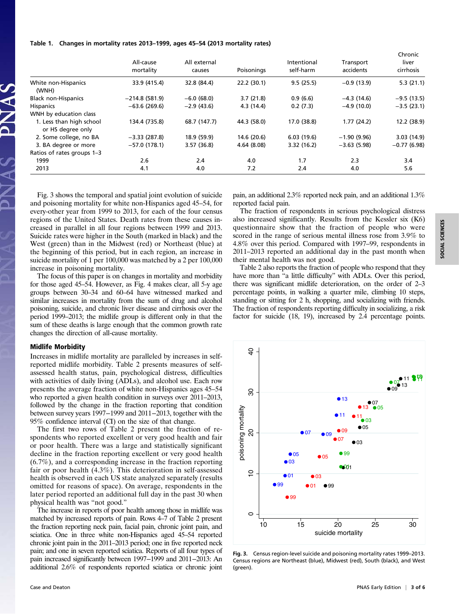#### Table 1. Changes in mortality rates 2013–1999, ages 45–54 (2013 mortality rates)

|                                               | All-cause<br>mortality | All external<br>causes | Poisonings  | Intentional<br>self-harm | Transport<br>accidents | Chronic<br>liver<br>cirrhosis |
|-----------------------------------------------|------------------------|------------------------|-------------|--------------------------|------------------------|-------------------------------|
| White non-Hispanics<br>(WNH)                  | 33.9 (415.4)           | 32.8 (84.4)            | 22.2(30.1)  | 9.5(25.5)                | $-0.9(13.9)$           | 5.3(21.1)                     |
| <b>Black non-Hispanics</b>                    | $-214.8(581.9)$        | $-6.0(68.0)$           | 3.7(21.8)   | 0.9(6.6)                 | $-4.3(14.6)$           | $-9.5(13.5)$                  |
| <b>Hispanics</b>                              | $-63.6(269.6)$         | $-2.9(43.6)$           | 4.3 (14.4)  | 0.2(7.3)                 | $-4.9(10.0)$           | $-3.5(23.1)$                  |
| WNH by education class                        |                        |                        |             |                          |                        |                               |
| 1. Less than high school<br>or HS degree only | 134.4 (735.8)          | 68.7 (147.7)           | 44.3 (58.0) | 17.0 (38.8)              | 1.77(24.2)             | 12.2 (38.9)                   |
| 2. Some college, no BA                        | $-3.33(287.8)$         | 18.9 (59.9)            | 14.6 (20.6) | 6.03(19.6)               | $-1.90(9.96)$          | 3.03(14.9)                    |
| 3. BA degree or more                          | $-57.0(178.1)$         | 3.57(36.8)             | 4.64(8.08)  | 3.32(16.2)               | $-3.63(5.98)$          | $-0.77(6.98)$                 |
| Ratios of rates groups 1-3                    |                        |                        |             |                          |                        |                               |
| 1999                                          | 2.6                    | 2.4                    | 4.0         | 1.7                      | 2.3                    | 3.4                           |
| 2013                                          | 4.1                    | 4.0                    | 7.2         | 2.4                      | 4.0                    | 5.6                           |

Fig. 3 shows the temporal and spatial joint evolution of suicide and poisoning mortality for white non-Hispanics aged 45–54, for every-other year from 1999 to 2013, for each of the four census regions of the United States. Death rates from these causes increased in parallel in all four regions between 1999 and 2013. Suicide rates were higher in the South (marked in black) and the West (green) than in the Midwest (red) or Northeast (blue) at the beginning of this period, but in each region, an increase in suicide mortality of 1 per 100,000 was matched by a 2 per 100,000 increase in poisoning mortality.

The focus of this paper is on changes in mortality and morbidity for those aged 45–54. However, as Fig. 4 makes clear, all 5-y age groups between 30–34 and 60–64 have witnessed marked and similar increases in mortality from the sum of drug and alcohol poisoning, suicide, and chronic liver disease and cirrhosis over the period 1999–2013; the midlife group is different only in that the sum of these deaths is large enough that the common growth rate changes the direction of all-cause mortality.

#### Midlife Morbidity

Increases in midlife mortality are paralleled by increases in selfreported midlife morbidity. Table 2 presents measures of selfassessed health status, pain, psychological distress, difficulties with activities of daily living (ADLs), and alcohol use. Each row presents the average fraction of white non-Hispanics ages 45–54 who reported a given health condition in surveys over 2011–2013, followed by the change in the fraction reporting that condition between survey years 1997−1999 and 2011−2013, together with the 95% confidence interval (CI) on the size of that change.

The first two rows of Table 2 present the fraction of respondents who reported excellent or very good health and fair or poor health. There was a large and statistically significant decline in the fraction reporting excellent or very good health (6.7%), and a corresponding increase in the fraction reporting fair or poor health (4.3%). This deterioration in self-assessed health is observed in each US state analyzed separately (results omitted for reasons of space). On average, respondents in the later period reported an additional full day in the past 30 when physical health was "not good."

The increase in reports of poor health among those in midlife was matched by increased reports of pain. Rows 4–7 of Table 2 present the fraction reporting neck pain, facial pain, chronic joint pain, and sciatica. One in three white non-Hispanics aged 45–54 reported chronic joint pain in the 2011–2013 period; one in five reported neck pain; and one in seven reported sciatica. Reports of all four types of pain increased significantly between 1997−1999 and 2011−2013: An additional 2.6% of respondents reported sciatica or chronic joint **SOCIAL SCIENCES** SOCIAL SCIENCES

pain, an additional 2.3% reported neck pain, and an additional 1.3% reported facial pain.

The fraction of respondents in serious psychological distress also increased significantly. Results from the Kessler six (K6) questionnaire show that the fraction of people who were scored in the range of serious mental illness rose from 3.9% to 4.8% over this period. Compared with 1997–99, respondents in 2011–2013 reported an additional day in the past month when their mental health was not good.

Table 2 also reports the fraction of people who respond that they have more than "a little difficulty" with ADLs. Over this period, there was significant midlife deterioration, on the order of 2–3 percentage points, in walking a quarter mile, climbing 10 steps, standing or sitting for 2 h, shopping, and socializing with friends. The fraction of respondents reporting difficulty in socializing, a risk factor for suicide (18, 19), increased by 2.4 percentage points.



Fig. 3. Census region-level suicide and poisoning mortality rates 1999–2013. Census regions are Northeast (blue), Midwest (red), South (black), and West (green).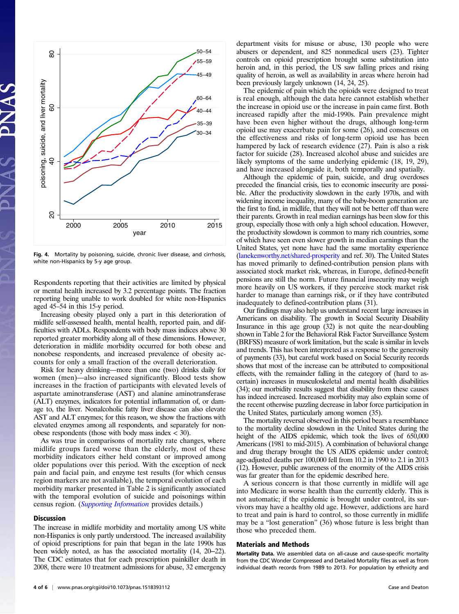

Fig. 4. Mortality by poisoning, suicide, chronic liver disease, and cirrhosis, white non-Hispanics by 5-y age group.

Respondents reporting that their activities are limited by physical or mental health increased by 3.2 percentage points. The fraction reporting being unable to work doubled for white non-Hispanics aged 45–54 in this 15-y period.

Increasing obesity played only a part in this deterioration of midlife self-assessed health, mental health, reported pain, and difficulties with ADLs. Respondents with body mass indices above 30 reported greater morbidity along all of these dimensions. However, deterioration in midlife morbidity occurred for both obese and nonobese respondents, and increased prevalence of obesity accounts for only a small fraction of the overall deterioration.

Risk for heavy drinking—more than one (two) drinks daily for women (men)—also increased significantly. Blood tests show increases in the fraction of participants with elevated levels of aspartate aminotransferase (AST) and alanine aminotransferase (ALT) enzymes, indicators for potential inflammation of, or damage to, the liver. Nonalcoholic fatty liver disease can also elevate AST and ALT enzymes; for this reason, we show the fractions with elevated enzymes among all respondents, and separately for nonobese respondents (those with body mass index  $<$  30).

As was true in comparisons of mortality rate changes, where midlife groups fared worse than the elderly, most of these morbidity indicators either held constant or improved among older populations over this period. With the exception of neck pain and facial pain, and enzyme test results (for which census region markers are not available), the temporal evolution of each morbidity marker presented in Table 2 is significantly associated with the temporal evolution of suicide and poisonings within census region. (*[Supporting Information](http://www.pnas.org/lookup/suppl/doi:10.1073/pnas.1518393112/-/DCSupplemental/pnas.201518393SI.pdf?targetid=nameddest=STXT)* provides details.)

#### Discussion

The increase in midlife morbidity and mortality among US white non-Hispanics is only partly understood. The increased availability of opioid prescriptions for pain that began in the late 1990s has been widely noted, as has the associated mortality (14, 20–22). The CDC estimates that for each prescription painkiller death in 2008, there were 10 treatment admissions for abuse, 32 emergency

The epidemic of pain which the opioids were designed to treat is real enough, although the data here cannot establish whether the increase in opioid use or the increase in pain came first. Both increased rapidly after the mid-1990s. Pain prevalence might have been even higher without the drugs, although long-term opioid use may exacerbate pain for some (26), and consensus on the effectiveness and risks of long-term opioid use has been hampered by lack of research evidence (27). Pain is also a risk factor for suicide (28). Increased alcohol abuse and suicides are likely symptoms of the same underlying epidemic (18, 19, 29), and have increased alongside it, both temporally and spatially.

Although the epidemic of pain, suicide, and drug overdoses preceded the financial crisis, ties to economic insecurity are possible. After the productivity slowdown in the early 1970s, and with widening income inequality, many of the baby-boom generation are the first to find, in midlife, that they will not be better off than were their parents. Growth in real median earnings has been slow for this group, especially those with only a high school education. However, the productivity slowdown is common to many rich countries, some of which have seen even slower growth in median earnings than the United States, yet none have had the same mortality experience [\(lanekenworthy.net/shared-prosperity](http://lanekenworthy.net/shared-prosperity) and ref. 30). The United States has moved primarily to defined-contribution pension plans with associated stock market risk, whereas, in Europe, defined-benefit pensions are still the norm. Future financial insecurity may weigh more heavily on US workers, if they perceive stock market risk harder to manage than earnings risk, or if they have contributed inadequately to defined-contribution plans (31).

Our findings may also help us understand recent large increases in Americans on disability. The growth in Social Security Disability Insurance in this age group (32) is not quite the near-doubling shown in Table 2 for the Behavioral Risk Factor Surveillance System (BRFSS) measure of work limitation, but the scale is similar in levels and trends. This has been interpreted as a response to the generosity of payments (33), but careful work based on Social Security records shows that most of the increase can be attributed to compositional effects, with the remainder falling in the category of (hard to ascertain) increases in musculoskeletal and mental health disabilities (34); our morbidity results suggest that disability from these causes has indeed increased. Increased morbidity may also explain some of the recent otherwise puzzling decrease in labor force participation in the United States, particularly among women (35).

The mortality reversal observed in this period bears a resemblance to the mortality decline slowdown in the United States during the height of the AIDS epidemic, which took the lives of 650,000 Americans (1981 to mid-2015). A combination of behavioral change and drug therapy brought the US AIDS epidemic under control; age-adjusted deaths per 100,000 fell from 10.2 in 1990 to 2.1 in 2013 (12). However, public awareness of the enormity of the AIDS crisis was far greater than for the epidemic described here.

A serious concern is that those currently in midlife will age into Medicare in worse health than the currently elderly. This is not automatic; if the epidemic is brought under control, its survivors may have a healthy old age. However, addictions are hard to treat and pain is hard to control, so those currently in midlife may be a "lost generation" (36) whose future is less bright than those who preceded them.

#### Materials and Methods

Mortality Data. We assembled data on all-cause and cause-specific mortality from the CDC Wonder Compressed and Detailed Mortality files as well as from individual death records from 1989 to 2013. For population by ethnicity and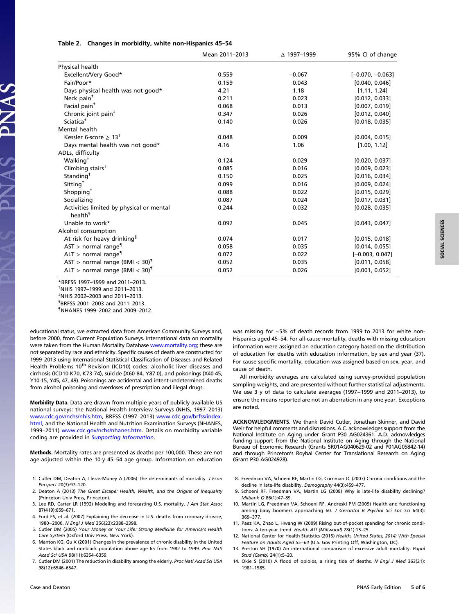|  |  |  |  | Table 2. Changes in morbidity, white non-Hispanics 45-54 |  |
|--|--|--|--|----------------------------------------------------------|--|
|--|--|--|--|----------------------------------------------------------|--|

|                                              | Mean 2011-2013 | △ 1997-1999 | 95% CI of change   |
|----------------------------------------------|----------------|-------------|--------------------|
| Physical health                              |                |             |                    |
| Excellent/Very Good*                         | 0.559          | $-0.067$    | $[-0.070, -0.063]$ |
| Fair/Poor*                                   | 0.159          | 0.043       | [0.040, 0.046]     |
| Days physical health was not good*           | 4.21           | 1.18        | [1.11, 1.24]       |
| Neck pain <sup>†</sup>                       | 0.211          | 0.023       | [0.012, 0.033]     |
| Facial pain <sup>+</sup>                     | 0.068          | 0.013       | [0.007, 0.019]     |
| Chronic joint pain <sup>#</sup>              | 0.347          | 0.026       | [0.012, 0.040]     |
| Sciatica <sup>†</sup>                        | 0.140          | 0.026       | [0.018, 0.035]     |
| Mental health                                |                |             |                    |
| Kessler 6-score $\geq 13^{\dagger}$          | 0.048          | 0.009       | [0.004, 0.015]     |
| Days mental health was not good*             | 4.16           | 1.06        | [1.00, 1.12]       |
| ADLs, difficulty                             |                |             |                    |
| Walking <sup>†</sup>                         | 0.124          | 0.029       | [0.020, 0.037]     |
| Climbing stairs <sup>†</sup>                 | 0.085          | 0.016       | [0.009, 0.023]     |
| Standing <sup>†</sup>                        | 0.150          | 0.025       | [0.016, 0.034]     |
| Sitting <sup>†</sup>                         | 0.099          | 0.016       | [0.009, 0.024]     |
| Shopping <sup>+</sup>                        | 0.088          | 0.022       | [0.015, 0.029]     |
| Socializing <sup>+</sup>                     | 0.087          | 0.024       | [0.017, 0.031]     |
| Activities limited by physical or mental     | 0.244          | 0.032       | [0.028, 0.035]     |
| health <sup>§</sup>                          |                |             |                    |
| Unable to work*                              | 0.092          | 0.045       | [0.043, 0.047]     |
| Alcohol consumption                          |                |             |                    |
| At risk for heavy drinking <sup>§</sup>      | 0.074          | 0.017       | [0.015, 0.018]     |
| $AST$ > normal range <sup>¶</sup>            | 0.058          | 0.035       | [0.014, 0.055]     |
| $ALT >$ normal range <sup>¶</sup>            | 0.072          | 0.022       | $[-0.003, 0.047]$  |
| AST > normal range (BMI $<$ 30) <sup>1</sup> | 0.052          | 0.035       | [0.011, 0.058]     |
| ALT > normal range (BMI $<$ 30) <sup>¶</sup> | 0.052          | 0.026       | [0.001, 0.052]     |

\*BRFSS 1997–1999 and 2011–2013. †  $*$ NHIS 1997–1999 and 2011–2013. NHIS 2002–2003 and 2011–2013. § BRFSS 2001–2003 and 2011–2013.

{ NHANES 1999–2002 and 2009–2012.

educational status, we extracted data from American Community Surveys and, before 2000, from Current Population Surveys. International data on mortality were taken from the Human Mortality Database [www.mortality.org;](http://www.mortality.org/) these are not separated by race and ethnicity. Specific causes of death are constructed for 1999–2013 using International Statistical Classification of Diseases and Related Health Problems 10<sup>th</sup> Revision (ICD10) codes: alcoholic liver diseases and cirrhosis (ICD10 K70, K73-74), suicide (X60-84, Y87.0), and poisonings (X40-45, Y10-15, Y45, 47, 49). Poisonings are accidental and intent-undetermined deaths from alcohol poisoning and overdoses of prescription and illegal drugs.

Morbidity Data. Data are drawn from multiple years of publicly available US national surveys: the National Health Interview Surveys (NHIS, 1997–2013) [www.cdc.gov/nchs/nhis.htm](http://www.cdc.gov/nchs/nhis.htm), BRFSS (1997–2013) [www.cdc.gov/brfss/index.](http://www.cdc.gov/brfss/index.html) [html,](http://www.cdc.gov/brfss/index.html) and the National Health and Nutrition Examination Surveys (NHANES, 1999–2011) [www.cdc.gov/nchs/nhanes.htm.](http://www.cdc.gov/nchs/nhanes.htm) Details on morbidity variable coding are provided in [Supporting Information](http://www.pnas.org/lookup/suppl/doi:10.1073/pnas.1518393112/-/DCSupplemental/pnas.201518393SI.pdf?targetid=nameddest=STXT).

Methods. Mortality rates are presented as deaths per 100,000. These are not age-adjusted within the 10-y 45–54 age group. Information on education

- 1. Cutler DM, Deaton A, Lleras-Muney A (2006) The determinants of mortality. J Econ Perspect 20(3):97–120.
- 2. Deaton A (2013) The Great Escape: Health, Wealth, and the Origins of Inequality (Princeton Univ Press, Princeton).
- 3. Lee RD, Carter LR (1992) Modeling and forecasting U.S. mortality. J Am Stat Assoc 87(419):659–671.
- 4. Ford ES, et al. (2007) Explaining the decrease in U.S. deaths from coronary disease, 1980−2000. N Engl J Med 356(23):2388–2398.
- 5. Cutler DM (2005) Your Money or Your Life: Strong Medicine for America's Health Care System (Oxford Univ Press, New York).
- 6. Manton KG, Gu X (2001) Changes in the prevalence of chronic disability in the United States black and nonblack population above age 65 from 1982 to 1999. Proc Natl Acad Sci USA 98(11):6354–6359.
- 7. Cutler DM (2001) The reduction in disability among the elderly. Proc Natl Acad Sci USA 98(12):6546–6547.

was missing for ∼5% of death records from 1999 to 2013 for white non-Hispanics aged 45–54. For all-cause mortality, deaths with missing education information were assigned an education category based on the distribution of education for deaths with education information, by sex and year (37). For cause-specific mortality, education was assigned based on sex, year, and cause of death.

All morbidity averages are calculated using survey-provided population sampling weights, and are presented without further statistical adjustments. We use 3 y of data to calculate averages (1997−1999 and 2011–2013), to ensure the means reported are not an aberration in any one year. Exceptions are noted.

ACKNOWLEDGMENTS. We thank David Cutler, Jonathan Skinner, and David Weir for helpful comments and discussions. A.C. acknowledges support from the National Institute on Aging under Grant P30 AG024361. A.D. acknowledges funding support from the National Institute on Aging through the National Bureau of Economic Research (Grants 5R01AG040629-02 and P01AG05842-14) and through Princeton's Roybal Center for Translational Research on Aging (Grant P30 AG024928).

- 8. Freedman VA, Schoeni RF, Martin LG, Cornman JC (2007) Chronic conditions and the decline in late-life disability. Demography 44(3):459–477.
- 9. Schoeni RF, Freedman VA, Martin LG (2008) Why is late-life disability declining? Milbank Q 86(1):47–89.
- 10. Martin LG, Freedman VA, Schoeni RF, Andreski PM (2009) Health and functioning among baby boomers approaching 60. J Gerontol B Psychol Sci Soc Sci 64(3): 369–377.
- 11. Paez KA, Zhao L, Hwang W (2009) Rising out-of-pocket spending for chronic conditions: A ten-year trend. Health Aff (Millwood) 28(1):15–25.
- 12. National Center for Health Statistics (2015) Health, United States, 2014: With Special Feature on Adults Aged 55−64 (U.S. Gov Printing Off, Washington, DC).
- 13. Preston SH (1970) An international comparison of excessive adult mortality. Popul Stud (Camb) 24(1):5–20.
- 14. Okie S (2010) A flood of opioids, a rising tide of deaths. N Engl J Med 363(21): 1981–1985.